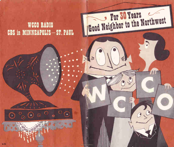## WCCO RADIO **CBS** in MINNEAPOLIS-ST. PAUL

 $\ddot{\mathbf{O}}$ 

Ò

Good Neighbor to the Northwest

 $\blacksquare$ 

C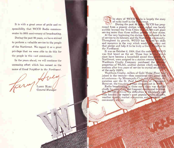It is with a great sense of pride and responsibility that WCCO Radio commemorates its 30th anniversary of broadcasting.

During the past 30 years, we have strived to perform a valuable service to the people of the Northwest. We regard it as a great privilege that we were able to do this for the people in this vast community.

In the years ahead, we will continue the unceasing effort which has earned us the name of Good Neighbor to the Northwest.

LARRY HAEC General Manager

he story of WCCO  $\parallel$  dio is largely the story of radio itself in the *workhwest*.

During the past  $30$  Years, WCCO has progressed from a pioneer station when sighal was barely audible beyond the Twin Cities  $t_{\text{N}} = 50,000$ -watt giant serving more than three million per in four states.

At the very beginning the station at Medicated to be of service to its listeners and the North munity. Throughout its growth, WCCO has the red its skills and resources in the way which would be a carry out that pledge and help it to be truly a  $Go_0$  . Negliber to the Northwest.

It was on October 2, 1924, that the code rell: WCCO was first heard on the air. Those four let since have become a household sound through the Northwest, were assigned to a station created Washburn Crosby Company purchased the this line properties of WLAG, another station which ceased op erations after two years of service to crystal set addict. of the early 1920's.

Washburn Crosby, millers of Gold Medal Flour, was joined in the venture—then considered very novel and adventurous—by Minneapolis Civic and Commerce Association and the St. Paul Accordition of Commerce However, the two civic groups dropped out in 1926.

Radio broadcasting in those early days was marked chiefly by noisy static and frequent mechanical troubles. But WCCO survived the difficulties of its infancy and soon became the region's most popular source of news, weather reports, market summaries, enter a numer and community service.

 $\overline{\phantom{a}}$ 

See 200

41,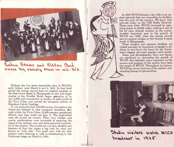

## Cedric Adams and Clellen Card EMCLE big variety show in mil-305.

Perhaps the two most memorable days in WCCO's early history were March 4 and 5, 1925. In that brief period the station moved from its original quarters in the Oak Grove Hotel in Minneapolis to new and larger studios in the Nicollet Hotel, began operation of its new 5,000-watt transmitter at Anoka, 18 miles north of the Twin Cities, and carried the inaugural address of President Calvin Coolidge.

It was estimated that 750,000 persons throughout the Northwest listened to that inaugural broadcast. But right within the Twin Cities, 12,000 persons complained bitterly that they could not hear it. The disgruntled were all crystal set owners. Their cat's whisker and quartz combinations were incapable of receiving the signal of the station's new and more powerful transmitter in the country. The crystal set was then obsolete and listeners of that day began a big rush for what was known as "tube sets." You could very well say that modern radio listening as well as broadcasting in the Northwest began on March 5, 1925.

**World Rad** 

In 1929 WCCO became a key link in an upstart network that was expanding its facilities into this part of the country. We know that network today as the CBS Radio Network. Three years later, WCCO increased its operating power to 50,000 watts, making it one of the 23 clear channel stations in the nation. Another important year in the growth of WCCO was 1938, when the station moved into its present studios at 625 Second Avenue South in Minneapolis.

These modern and spacious facilities are visited annually by thousands of people in addition to serving as the home for the Northwest's biggest and most popular radio family.

Dates and developments, facts and figures are significant in recounting the growth of WCCO. But infinitely more important to the success and progress of the station have been the people of WCCO. Throughout its history, WCCO has always had one of the nation's outstanding lineups of personalities.



Studio visitors watch NCCO broadcast in 1925.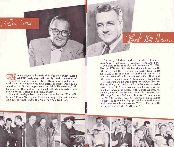Imost anyone who resided in the Northwest during WCCO's early days will readily recall the names of by the station's many stars. Music was popular fare. And it was no wonder with such talent as Oscar Danielson's Scandinavian Orchestra, piano master Eddie Dunstedter, Irish tenor Jerry Harrington, the famed Wheaties Quartet, redheaded Wendell Hall and so many others.

Cearing Adors

Some of the day's best humor was provided by "The Politicians," Frank McIrny and Fred Lundberg, with their endless dialogues in what is now the Amos 'n Andy tradition.

The early Thirties marked the start of one of radio's very first comedy programs, Tina and Tim.

Bol De Haven

Old-time radio fans also will remember Dr. William A. O'Brien with his friendly chats on health, Al Smeby and the livestock summaries from South St. Paul, Mildred Simons with the market reports and the voices of such announcers as Carl Burkland, Al Chance, Paul Johnson, Al Sheehan and Ken Titus.

Those were the fledgling days for WCCO. But, today as then, the station ranks as its most valuable asset its talent. And, of course, any listing or recitement of today's list begins with Cedric Adams, nationally-known newscaster, humorist, emcee and Minneapolis Star- Tribune columnist. A member of the WCCO family since 1931, Cedric began his climb to fame in 1934 when he started his noontime and nighttime news broadcasts on WCCO. Cedric without question, is "Mr. Northwest."

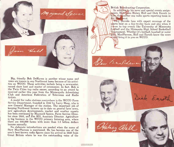British Breadcasting Corporation.

Rear RacPherson

Halsey Aall

In addition to his news and special events assignments, Stew ons Halsey Hall and Dick Enroth to form the umber one radio sports reporting team in the Nurth west.

They provide fans with expert coverage of the orts beat on a day-to-day basis and also when it comes to top events like University of Minnesota football and the Minnesota High School Basketball marnent. Whether it's football, baseball or water MacPherson, Hall and Enroth know the score  $\rightarrow$  and bring it to you on WCCO.

Dick Enrol

Big, friendly Bob DeHaven is another whose name and voice are known in any Northwest home because of his activities on WCCO. Those activities include being a newscaster. record show host and master of ceremonies. In fact, Bob is the Twin Cities top radio emcee, according to an award he received earlier this year from the Minneapolis Advertising Club and American Federation of Television and Radio Artists.

Hil

Maynard Speece

A model for radio stations everywhere is the WCCO Farm Service Department, founded in 1942 by Larry Haeg, who is now General Manager of the station. The important job of keeping Northwest farmers up to date on general farm news, new agriculture developments, market and weather reports has been continued by Maynard Speece, Farm Service Director since 1952, and Jim Hill, Associate Director. Agriculture is big business in the WCCO primary listening area, where there are 226,000 farms with more than 1.6 billion dollars income annually.

No elaborate introductions are needed when the name of Stew MacPherson is mentioned. He has become one of the area's best-known radio figures since his arrival in 1950 from Great Britain where he was the outstanding voice of the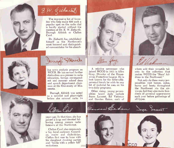



The impressive list of favorites who help make 830 such a popular spot on the radio dial is hardly started without the mention of Dr. E. W. Ziebarth, Darragh Aldrich or Clellan Card.

Dr. Ziebarth has established himself as the Northwest's most honored and distinguished commentator for his absorb-

Darragh Fledrich



ing news analysis program on WCCO. He has earned further distinction as a pioneer in radio education, foreign correspondent and summer school dean and speech department chairman at the University of Minnesota.

Darragh Aldrich was noted as a novelist and playwright before she entered radio 14

A relative newcomer who joined WCCO in 1951 is Allen Gray, Director of the Housewives Protective League. He is best known for the believable, personal touch he adds to any bit of material he uses on his two daily programs.

Allen Gray

Other rising, young personalities heard daily include Joyce Lamont, Ed Viehman and Gordon Eaton, each of



whom add their versatile talents to the collection that makes WCCO the "Stars' Address in the Northwest."

Not only do these many personalities visit homes, autos, barns and boats throughout the Northwest via the airwaves, but they also make hundreds of personal appearances each year before gatherings of all types.

years ago. In that time, she has gained a large and devoted following among women radio listeners of the Northwest.

Clellan Card also commands a big. loyal audience. Comedian, emcee and dialectician, Clellan first rose to fame with his doughnut dunking parties and "birdie with a yellow bill" recitations.



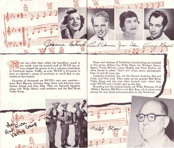

usic has often been called the friendliest sound in the world. And the musical staff of WCCO has always helped the station to be a welcome entertainer in Northwest homes. Today, as ever, WCCO is fortunate to have as talented a group of musicians as you'll find at any station in the country.

Favorites of thousands are WCCO's very own vocalists tenor Burt Hanson, baritone Tony Grise and feminine stars Jeanne Arland and Joan Iden. They are featured regularly along with Wally Olson's staff orchestra and the Red River Valley Gang.

 $\mathbf{r}$ 

Many real veterans of Northwest broadcasting are included in this group. Fellows like Wally Olson, Iry Wickner, Kenny Spears, Frank Roberts, Larry Brakke and Vince Bastien are often forced to admit "that's me" when shown photographs from 15 and 20 years ago.

Longtime favorites, too, are the Garven brothers, Hal and Ernie, and Dick Link. They make up the popular Red River Valley Gang and also join other musical units which help make WCCO such a bright spot on the dial.

Rounding out the musical family are Willie Peterson, Ovid (Biddy) Bastien, Bill Hulwi and Bob Bass, all of whom rank among the best band instrumentalists in the Northwest.